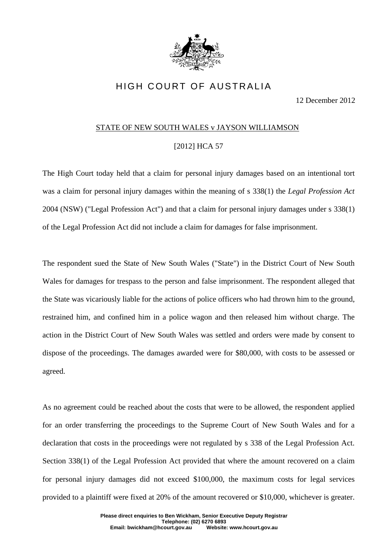

## HIGH COURT OF AUSTRALIA

12 December 2012

## STATE OF NEW SOUTH WALES v JAYSON WILLIAMSON

## [2012] HCA 57

The High Court today held that a claim for personal injury damages based on an intentional tort was a claim for personal injury damages within the meaning of s 338(1) the *Legal Profession Act*  2004 (NSW) ("Legal Profession Act") and that a claim for personal injury damages under s 338(1) of the Legal Profession Act did not include a claim for damages for false imprisonment.

The respondent sued the State of New South Wales ("State") in the District Court of New South Wales for damages for trespass to the person and false imprisonment. The respondent alleged that the State was vicariously liable for the actions of police officers who had thrown him to the ground, restrained him, and confined him in a police wagon and then released him without charge. The action in the District Court of New South Wales was settled and orders were made by consent to dispose of the proceedings. The damages awarded were for \$80,000, with costs to be assessed or agreed.

As no agreement could be reached about the costs that were to be allowed, the respondent applied for an order transferring the proceedings to the Supreme Court of New South Wales and for a declaration that costs in the proceedings were not regulated by s 338 of the Legal Profession Act. Section 338(1) of the Legal Profession Act provided that where the amount recovered on a claim for personal injury damages did not exceed \$100,000, the maximum costs for legal services provided to a plaintiff were fixed at 20% of the amount recovered or \$10,000, whichever is greater.